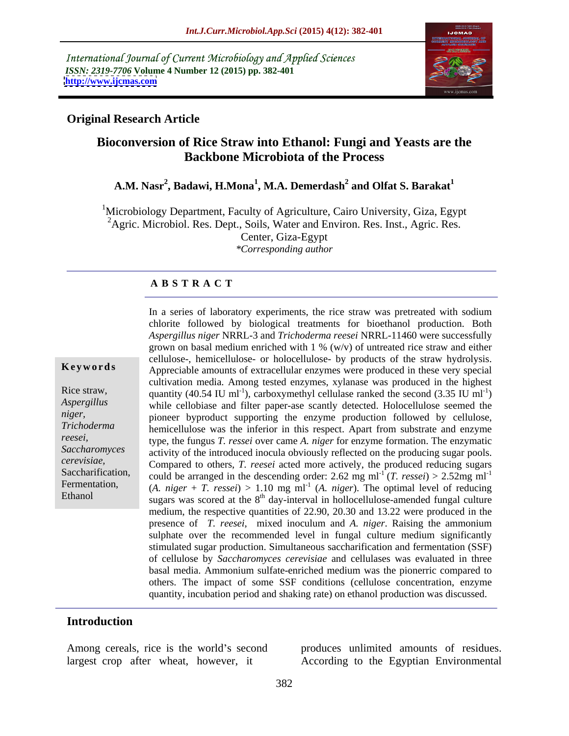International Journal of Current Microbiology and Applied Sciences *ISSN: 2319-7706* **Volume 4 Number 12 (2015) pp. 382-401 <http://www.ijcmas.com>**



### **Original Research Article**

# **Bioconversion of Rice Straw into Ethanol: Fungi and Yeasts are the Backbone Microbiota of the Process**

### **A.M. Nasr<sup>2</sup> , Badawi, H.Mona<sup>1</sup> , M.A. Demerdash 2** and Olfat S. Barakat<sup>1</sup>

 $1$ Microbiology Department, Faculty of Agriculture, Cairo University, Giza, Egypt <sup>2</sup>Agric. Microbiol. Res. Dept., Soils, Water and Environ. Res. Inst., Agric. Res. Center, Giza-Egypt *\*Corresponding author*

### **A B S T R A C T**

Ethanol

In a series of laboratory experiments, the rice straw was pretreated with sodium chlorite followed by biological treatments for bioethanol production. Both *Aspergillus niger* NRRL-3 and *Trichoderma reesei* NRRL-11460 were successfully grown on basal medium enriched with 1 % (w/v) of untreated rice straw and either cellulose-, hemicellulose- or holocellulose- by products of the straw hydrolysis. **Keywords** Appreciable amounts of extracellular enzymes were produced in these very special cultivation media. Among tested enzymes, xylanase was produced in the highest Rice straw, quantity  $(40.54 \text{ IU m}^{-1})$ , carboxymethyl cellulase ranked the second  $(3.35 \text{ IU m}^{-1})$  $)$ while cellobiase and filter paper-ase scantly detected. Holocellulose seemed the *Aspergillus*  pioneer byproduct supporting the enzyme production followed by cellulose, *niger,*  hemicellulose was the inferior in this respect. Apart from substrate and enzyme *Trichoderma*  type, the fungus *T. ressei* over came *A. niger* for enzyme formation. The enzymatic *reesei,*  Saccharomyces activity of the introduced inocula obviously reflected on the producing sugar pools. Compared to others, *T. reesei* acted more actively, the produced reducing sugars *cerevisiae,* Saccharification, could be arranged in the descending order:  $2.62$  mg ml<sup>-1</sup> (*T. ressei*) >  $2.52$ mg ml<sup>-1</sup> Fermentation, (*A. niger* + *T. ressei*) > 1.10 mg ml<sup>-1</sup> (*A. niger*). The optimal level of reducing sugars was scored at the  $8<sup>th</sup>$  day-interval in hollocellulose-amended fungal culture medium, the respective quantities of 22.90, 20.30 and 13.22 were produced in the presence of *T. reesei*, mixed inoculum and *A. niger*. Raising the ammonium sulphate over the recommended level in fungal culture medium significantly stimulated sugar production. Simultaneous saccharification and fermentation (SSF) of cellulose by *Saccharomyces cerevisiae* and cellulases was evaluated in three basal media. Ammonium sulfate-enriched medium was the pionerric compared to others. The impact of some SSF conditions (cellulose concentration, enzyme quantity, incubation period and shaking rate) on ethanol production was discussed.

### **Introduction**

Among cereals, rice is the world's second produces unlimited amounts of residues. largest crop after wheat, however, it According to the Egyptian Environmental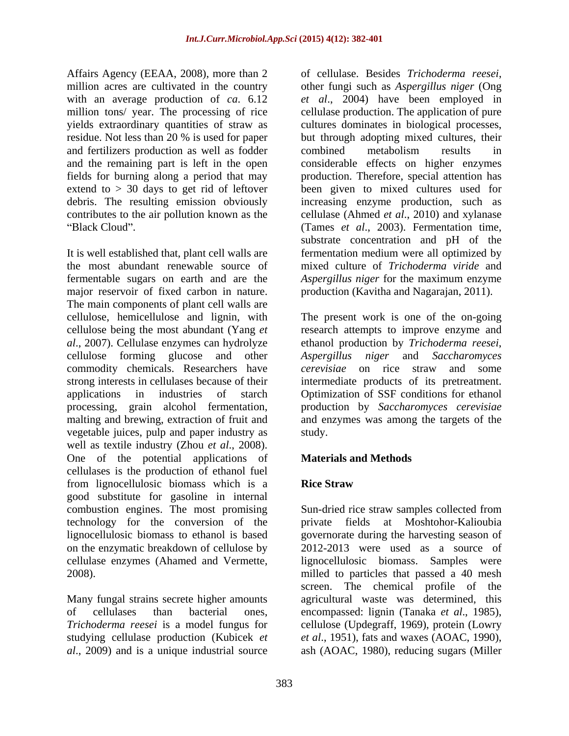Affairs Agency (EEAA, 2008), more than 2 of cellulase. Besides Trichoderma reesei, million acres are cultivated in the country other fungi such as Aspergillus niger (Ong with an average production of *ca*. 6.12 million tons/ year. The processing of rice and fertilizers production as well as fodder and the remaining part is left in the open debris. The resulting emission obviously

It is well established that, plant cell walls are the most abundant renewable source of mixed culture of *Trichoderma viride* and fermentable sugars on earth and are the *Aspergillus niger* for the maximum enzyme major reservoir of fixed carbon in nature. The main components of plant cell walls are cellulose, hemicellulose and lignin, with The present work is one of the on-going cellulose being the most abundant (Yang *et*  research attempts to improve enzyme and *al*., 2007). Cellulase enzymes can hydrolyze ethanol production by *Trichoderma reesei*, cellulose forming glucose and other Aspergillus niger and Saccharomyces commodity chemicals. Researchers have *cerevisiae* on rice straw and some strong interests in cellulases because of their intermediate products of its pretreatment. applications in industries of starch Optimization of SSF conditions for ethanol processing, grain alcohol fermentation, malting and brewing, extraction of fruit and and enzymes was among the targets of the vegetable juices, pulp and paper industry as well as textile industry (Zhou *et al*., 2008). One of the potential applications of **Materials and Methods** cellulases is the production of ethanol fuel from lignocellulosic biomass which is a good substitute for gasoline in internal combustion engines. The most promising technology for the conversion of the private fields at Moshtohor-Kalioubia lignocellulosic biomass to ethanol isbased governorate during the harvesting season of on the enzymatic breakdown of cellulose by cellulase enzymes (Ahamed and Vermette, lignocellulosic biomass. Samples were 2008). milled to particles that passed a 40 mesh

of cellulases than bacterial ones, encompassed: lignin (Tanaka et al., 1985), *Trichoderma reesei* is a model fungus for eellulose (Updegraff, 1969), protein (Lowry

yields extraordinary quantities of straw as cultures dominates in biological processes, residue. Not less than 20 % is used for paper but through adopting mixed cultures, their fields for burning along a period that may production. Therefore, special attention has extend to > 30 days to get rid of leftover been given to mixed cultures used for contributes to the air pollution known as the cellulase (Ahmed *et al*., 2010) and xylanase Black Cloud". (Tames *et al.*, 2003). Fermentation time, of cellulase. Besides *Trichoderma reesei*, other fungi such as *Aspergillus niger* (Ong *et al*., 2004) have been employed in cellulase production. The application of pure combined metabolism results in considerable effects on higher enzymes increasing enzyme production, such as substrate concentration and pH of the fermentation medium were all optimized by production (Kavitha and Nagarajan, 2011).

> *Aspergillus niger* and *Saccharomyces*  production by *Saccharomyces cerevisiae* study.

## **Materials and Methods**

## **Rice Straw**

Many fungal strains secrete higher amounts agricultural waste was determined, this studying cellulase production (Kubicek *et et al*., 1951), fats and waxes (AOAC, 1990), *al*., 2009) and is a unique industrial source ash (AOAC, 1980), reducing sugars (MillerSun-dried rice straw samples collected from 2012-2013 were used as a source of screen. The chemical profile of the encompassed: lignin (Tanaka *et al.*, 1985),<br>cellulose (Updegraff, 1969), protein (Lowry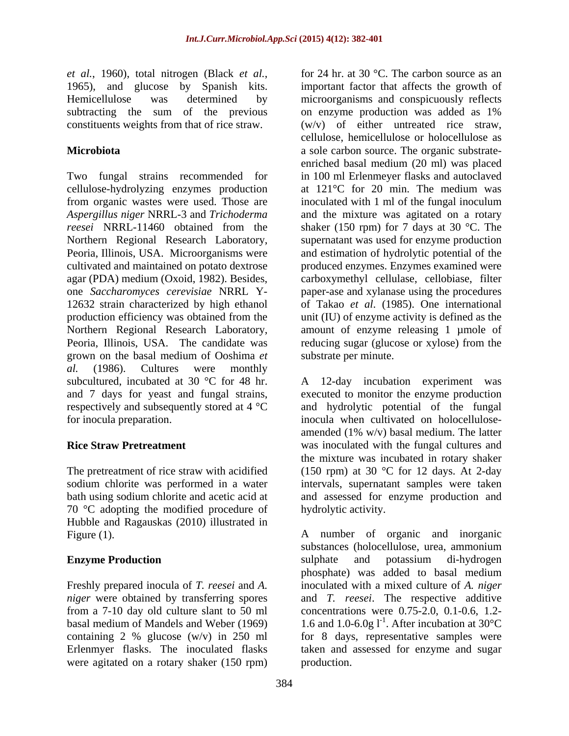subtracting the sum of the previous on enzyme production was added as 1% constituents weights from that of rice straw.

Two fungal strains recommended for cellulose-hydrolyzing enzymes production from organic wastes were used. Those are Northern Regional Research Laboratory, grown on the basal medium of Ooshima *et al.* (1986). Cultures were monthly subcultured, incubated at 30 °C for 48 hr. A respectively and subsequently stored at 4 °C

70 °C adopting the modified procedure of Hubble and Ragauskas (2010) illustrated in

Erlenmyer flasks. The inoculated flasks were agitated on a rotary shaker (150 rpm)

*et al.*, 1960), total nitrogen (Black *et al.*, for 24 hr. at 30 °C. The carbon source as an 1965), and glucose by Spanish kits. important factor that affects the growth of Hemicellulose was determined by microorganisms and conspicuously reflects **Microbiota** a sole carbon source. The organic substrate- *Aspergillus niger* NRRL-3 and *Trichoderma*  and the mixture was agitated on a rotary *reesei* NRRL-11460 obtained from the shaker (150 rpm) for 7 days at 30 °C. The Peoria, Illinois, USA. Microorganisms were and estimation of hydrolytic potential of the cultivated and maintained on potato dextrose produced enzymes. Enzymes examined were agar (PDA) medium (Oxoid, 1982). Besides, carboxymethyl cellulase, cellobiase, filter one *Saccharomyces cerevisiae* NRRL Y- paper-ase and xylanase using the procedures 12632 strain characterized by high ethanol of Takao *et al*. (1985). One international production efficiency was obtained from the unit (IU) of enzyme activity is defined as the Northern Regional Research Laboratory, amount of enzyme releasing 1 µmole of Peoria, Illinois, USA. The candidate was reducing sugar (glucose or xylose) from the for 24 hr. at 30 °C. The carbon source as an important factor that affects the growth of on enzyme production was added as 1% (w/v) of either untreated rice straw, cellulose, hemicellulose or holocellulose as enriched basal medium (20 ml) was placed in 100 ml Erlenmeyer flasks and autoclaved at 121°C for 20 min. The medium was inoculated with 1 ml of the fungal inoculum supernatant was used for enzyme production substrate per minute.

and 7 days for yeast and fungal strains, executed to monitor the enzyme production for inocula preparation. inocula when cultivated on holocellulose- **Rice Straw Pretreatment** was inoculated with the fungal cultures and The pretreatment of rice straw with acidified (150 rpm) at 30 °C for 12 days. At 2-day sodium chlorite was performed in a water intervals, supernatant samples were taken bath using sodium chlorite and acetic acid at and assessed for enzyme production and 12-day incubation experiment was and hydrolytic potential of the fungal amended (1% w/v) basal medium. The latter the mixture was incubated in rotary shaker hydrolytic activity.

Figure (1). The same of state and inorganic and inorganic and inorganic and inorganic and inorganic **Enzyme Production Enzyme Production Enzyme Production Enzyme Production Enzyme Production** Freshly prepared inocula of *T. reesei* and *A.*  inoculated with a mixed culture of *A. niger niger* were obtained by transferring spores and *T. reesei*. The respective additive from a 7-10 day old culture slant to 50 ml concentrations were 0.75-2.0, 0.1-0.6, 1.2 basal medium of Mandels and Weber (1969)  $\qquad 1.6$  and 1.0-6.0g l<sup>-1</sup>. After incubation at 30°C containing 2 % glucose (w/v) in 250 ml for 8 days, representative samples were substances (holocellulose, urea, ammonium sulphate and potassium di-hydrogen phosphate) was added to basal medium taken and assessed for enzyme and sugar production.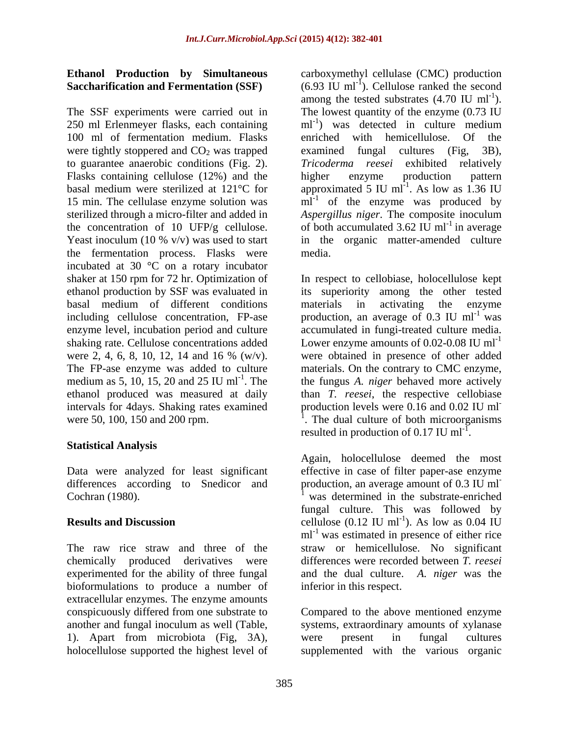The SSF experiments were carried out in The lowest quantity of the enzyme (0.73 IU 250 ml Erlenmeyer flasks, each containing 100 ml of fermentation medium. Flasks enriched with hemicellulose. Of the were tightly stoppered and  $CO<sub>2</sub>$  was trapped examined fungal cultures (Fig. 3B). to guarantee anaerobic conditions (Fig. 2). Tricoderma reesei exhibited relatively Flasks containing cellulose (12%) and the higher enzyme production pattern basal medium were sterilized at 121 $\degree$ C for approximated 5 IU ml<sup>-1</sup>. As low as 1.36 IU 15 min. The cellulase enzyme solution was  $\overline{m}$ <sup>1</sup> of the enzyme was produced by sterilized through a micro-filter and added in *Aspergillus niger*. The composite inoculum the concentration of 10 UFP/g cellulose. of both accumulated 3.62 IU ml<sup>-1</sup> in average Yeast inoculum (10 % v/v) was used to start in the organic matter-amended culture the fermentation process. Flasks were incubated at 30 °C on a rotary incubator shaker at 150 rpm for 72 hr. Optimization of In respect to cellobiase, holocellulose kept ethanol production by SSF was evaluated in its superiority among the other tested basal medium of different conditions materials in activating the enzyme including cellulose concentration, FP-ase production, an average of 0.3 IU ml<sup>-1</sup> was enzyme level, incubation period and culture accumulated in fungi-treated culture media. shaking rate. Cellulose concentrations added Lower enzyme amounts of 0.02-0.08 IU ml<sup>-1</sup> were 2, 4, 6, 8, 10, 12, 14 and 16 % (w/v). were obtained in presence of other added The FP-ase enzyme was added to culture materials. On the contrary to CMC enzyme, medium as 5, 10, 15, 20 and 25 IU ml<sup>-1</sup>. The the fungus *A. niger* behaved more actively ethanol produced was measured at daily than *T. reesei*, the respective cellobiase intervals for 4days. Shaking rates examined production levels were 0.16 and 0.02 IU ml were 50, 100, 150 and 200 rpm.

## **Statistical Analysis**

differences according to Snedicor and production, an average amount of 0.3 IU ml<sup>-</sup>

experimented for the ability of three fungal bioformulations to produce a number of extracellular enzymes. The enzyme amounts 1). Apart from microbiota (Fig, 3A),

**Ethanol Production by Simultaneous**  carboxymethyl cellulase (CMC) production **Saccharification and Fermentation (SSF)** (6.93 IU ml<sup>-I</sup>). Cellulose ranked the second among the tested substrates  $(4.70 \text{ IU ml}^{-1})$ . ).  $ml^{-1}$ ) was detected in culture medium ) was detected in culture medium enriched with hemicellulose. Of examined fungal cultures (Fig, 3B), *Tricoderma reesei* exhibited relatively higher enzyme production pattern . As low as 1.36 IU media.

> materials in activating the enzyme was **was** were obtained in presence of other added production levels were  $0.16$  and  $0.02$  IU ml<sup>-1</sup> The dual culture of both microorganisms resulted in production of  $0.17 \text{ IU } \text{ml}^{-1}$ . .

Data were analyzed for least significant effective in case of filter paper-ase enzyme Cochran (1980). was determined in the substrate-enriched **Results and Discussion**  $\text{cellulose } (0.12 \text{ IU ml}^{-1})$ . As low as 0.04 IU The raw rice straw and three of the straw or hemicellulose. No significant chemically produced derivatives were differences were recorded between *T. reesei* Again, holocellulose deemed the most production, an average amount of  $0.3 \text{ IU} \text{ ml}^{-1}$ fungal culture. This was followed by ). As low as 0.04 IU ml<sup>-1</sup> was estimated in presence of either rice and the dual culture. *A. niger* was the inferior in this respect.

conspicuously differed from one substrate to Compared to the above mentioned enzyme another and fungal inoculum as well (Table, systems, extraordinary amounts of xylanase holocellulose supported the highest level of supplemented with the various organicwere present in fungal cultures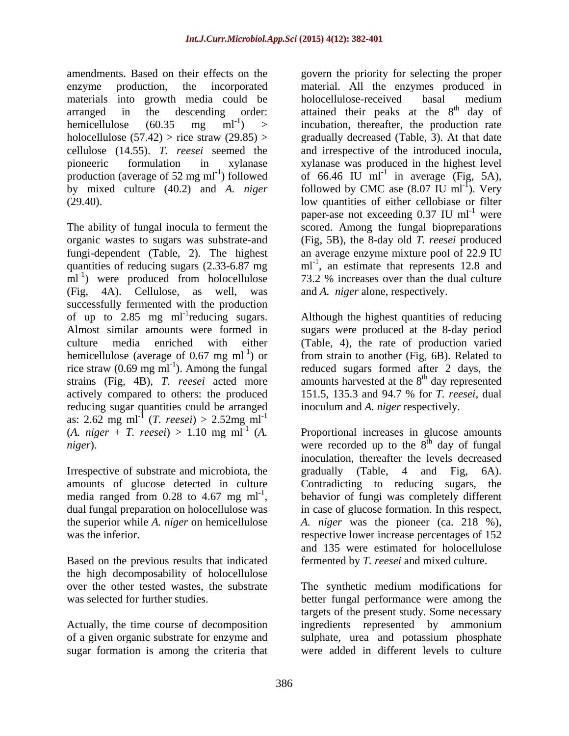amendments. Based on their effects on the govern the priority for selecting the proper materials into growth media could be

 $ml^{-1}$ ) were produced from holocellulose (Fig, 4A). Cellulose, as well, was and *A. niger* alone, respectively. successfully fermented with the production of up to  $2.85$  mg ml<sup>-1</sup> reducing sugars. Almost similar amounts were formed in sugars were produced at the 8-day period culture media enriched with either (Table, 4), the rate of production varied hemicellulose (average of 0.67 mg  $ml^{-1}$ ) or rice straw  $(0.69 \text{ mg m}^{-1})$ . Among the fungal strains (Fig, 4B), *T. reesei* acted more amounts harvested at the 8<sup>th</sup> day represented actively compared to others: the produced 151.5, 135.3 and 94.7 % for *T. reesei*, dual reducing sugar quantities could be arranged as: 2.62 mg ml<sup>-1</sup> (*T. reesei*) > 2.52mg ml<sup>-1</sup>

Irrespective of substrate and microbiota, the gradually (Table, 4 and Fig. 6A). amounts of glucose detected in culture Contradicting to reducing sugars, the media ranged from 0.28 to 4.67 mg  $ml^{-1}$ ,

Based on the previous results that indicated the high decomposability of holocellulose

Actually, the time course of decomposition ingredients represented by ammonium of a given organic substrate for enzyme and sugar formation is among the criteria that

enzyme production, the incorporated material. All the enzymes produced in arranged in the descending order: attained their peaks at the  $8<sup>th</sup>$  day of hemicellulose  $(60.35 \text{ mg } \text{ml}^{-1})$  > incubation, thereafter, the production rate holocellulose (57.42) > rice straw (29.85) > gradually decreased (Table, 3). At that date cellulose (14.55). *T. reesei* seemed the and irrespective of the introduced inocula, pioneeric formulation in xylanase xylanase was produced in the highest level production (average of 52 mg ml<sup>-1</sup>) followed of 66.46 IU  $\text{m}$ l<sup>-1</sup> in average (Fig, 5A), by mixed culture (40.2) and *A. niger* followed by CMC ase  $(8.07 \text{ IU ml}^{-1})$ . Very (29.40). low quantities of either cellobiase or filter The ability of fungal inocula to ferment the scored. Among the fungal biopreparations organic wastes to sugars was substrate-and (Fig, 5B), the 8-day old *T. reesei* produced fungi-dependent (Table, 2). The highest an average enzyme mixture pool of 22.9 IU quantities of reducing sugars  $(2.33-6.87 \text{ mg} \text{ m}^{-1})$ , an estimate that represents 12.8 and 73.2 % increases over than the dual culture holocellulose-received basal medium <sup>th</sup> day of ). Very paper-ase not exceeding  $0.37$  IU ml<sup>-1</sup> were were **were** 73.2 % increases over than the dual culture

reducing sugars. Although the highest quantities of reducing ) or from strain to another (Fig, 6B). Related to ). Among the fungal reduced sugars formed after 2 days, the <sup>th</sup> day represented inoculum and *A. niger* respectively.

 $(A. \text{ niger } + T. \text{ reesei}) > 1.10 \text{ mg ml}^{-1}$   $(A. \text{ Proportional increases in glucose amounts})$ *niger*). Were recorded up to the 8<sup>th</sup> day of fungal media ranged from 0.28 to 4.67 mg ml<sup>-1</sup>, behavior of fungi was completely different dual fungal preparation on holocellulose was in case of glucose formation. In this respect, the superior while *A. niger* on hemicellulose *A. niger* was the pioneer (ca. 218 %), was the inferior. The interior expective lower increase percentages of 152 <sup>th</sup> day of fungal inoculation, thereafter the levels decreased gradually (Table, 4 and Fig, 6A). Contradicting to reducing sugars, behavior of fungi was completely different and 135 were estimated for holocellulose fermented by *T. reesei* and mixed culture.

over the other tested wastes, the substrate The synthetic medium modifications for was selected for further studies. better fungal performance were among the targets of the present study. Some necessary ingredients represented by ammonium sulphate, urea and potassium phosphate were added in different levels to culture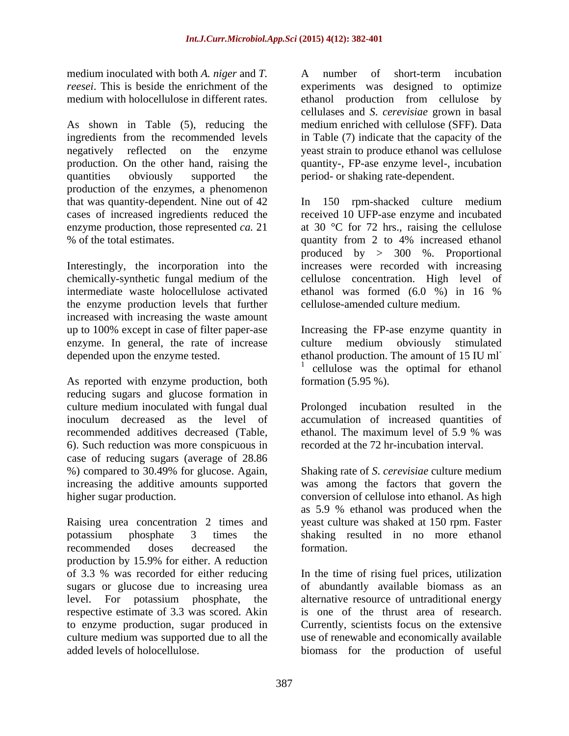medium inoculated with both *A. niger* and *T.* A number of short-term incubation

As shown in Table (5), reducing the production. On the other hand, raising the quantities obviously supported the period- or shaking rate-dependent. production of the enzymes, a phenomenon

intermediate waste holocellulose activated ethanol was formed (6.0 %) in 16 % the enzyme production levels that further increased with increasing the waste amount enzyme. In general, the rate of increase culture medium obviously stimulated

As reported with enzyme production, both reducing sugars and glucose formation in culture medium inoculated with fungal dual error Prolonged incubation resulted in the inoculum decreased as the level of accumulation of increased quantities of recommended additives decreased (Table, 6). Such reduction was more conspicuous in case of reducing sugars (average of 28.86<br>%) compared to 30.49% for glucose. Again, %) compared to 30.49% for glucose. Again, Shaking rate of *S*. *cerevisiae* culture medium increasing the additive amounts supported was among the factors that govern the higher sugar production. conversion of cellulose into ethanol. As high

Raising urea concentration 2 times and potassium phosphate 3 times the shaking resulted in no more ethanol recommended doses decreased the production by 15.9% for either. A reduction of 3.3 % was recorded for either reducing In the time of rising fuel prices, utilization sugars or glucose due to increasing urea of abundantly available biomass as an level. For potassium phosphate, the alternative resource of untraditional energy respective estimate of 3.3 was scored. Akin to enzyme production, sugar produced in culture medium was supported due to all the use of renewable and economically available added levels of holocellulose. biomass for the production of useful

*reesei*. This is beside the enrichment of the experiments was designed to optimize medium with holocellulose in different rates. ethanol production from cellulose by ingredients from the recommended levels in Table (7) indicate that the capacity of the negatively reflected on the enzyme yeast strain to produce ethanol was cellulose A number of short-term incubation cellulases and *S*. *cerevisiae* grown in basal medium enriched with cellulose (SFF). Data quantity-, FP-ase enzyme level-, incubation

that was quantity-dependent. Nine out of 42 In 150 rpm-shacked culture medium cases of increased ingredients reduced the received 10 UFP-ase enzyme and incubated enzyme production, those represented *ca*. 21 at 30 °C for 72 hrs., raising the cellulose % of the total estimates. quantity from 2 to 4% increased ethanol Interestingly, the incorporation into the increases were recorded with increasing chemically-synthetic fungal medium of the cellulose concentration. High level of produced by > 300 %. Proportional ethanol was formed (6.0 %) in 16 % cellulose-amended culture medium.

up to 100% except in case of filter paper-ase Increasing the FP-ase enzyme quantity in depended upon the enzyme tested.<br>
<sup>1</sup> equiplese west the entimel for ethanol culture medium obviously stimulated cellulose was the optimal for ethanol formation (5.95 %).

> Prolonged incubation resulted in ethanol. The maximum level of 5.9 % was recorded at the 72 hr-incubation interval.

as 5.9 % ethanol was produced when the yeast culture was shaked at 150 rpm. Faster formation.

is one of the thrust area of research. Currently, scientists focus on the extensive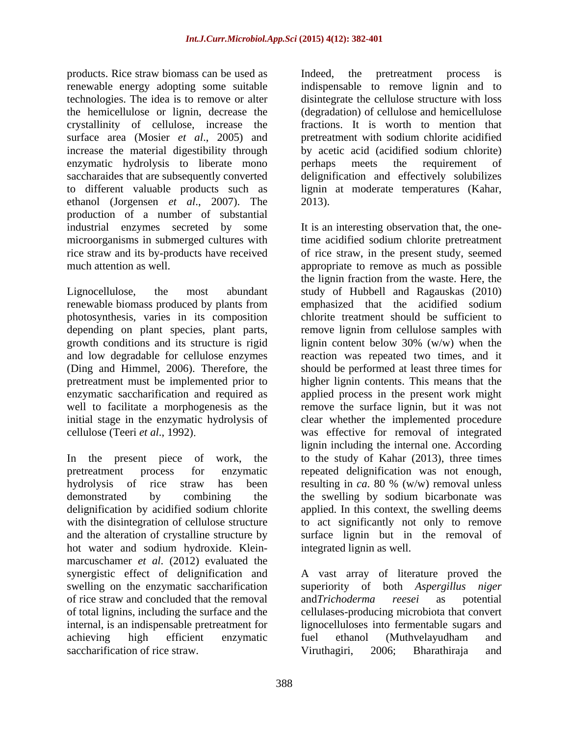products. Rice straw biomass can be used as Indeed, the pretreatment process is renewable energy adopting some suitable technologies. The idea is to remove or alter disintegrate the cellulose structure with loss the hemicellulose or lignin, decrease the (degradation) of cellulose and hemicellulose crystallinity of cellulose, increase the surface area (Mosier *et al*., 2005) and pretreatment with sodium chlorite acidified increase the material digestibility through by acetic acid (acidified sodium chlorite) enzymatic hydrolysis to liberate mono perhaps meets the requirement of saccharaides that are subsequently converted delignification and effectively solubilizes to different valuable products such as lignin at moderate temperatures (Kahar, ethanol (Jorgensen *et al*., 2007). The production of a number of substantial

renewable biomass produced by plants from emphasized that the acidified sodium photosynthesis, varies in its composition

hot water and sodium hydroxide. Klein marcuschamer *et al*. (2012) evaluated the of rice straw and concluded that the removal and *Trichoderma* reesei as potential saccharification of rice straw. The Struthagiri. 2006: Bharathiraia and

Indeed, the pretreatment process is indispensable to remove lignin and to fractions. It is worth to mention that perhaps meets the requirement of 2013).

industrial enzymes secreted by some It is an interesting observation that, the onemicroorganisms in submerged cultures with time acidified sodium chlorite pretreatment rice straw and its by-products have received of rice straw, in the present study, seemed much attention as well. The same example appropriate to remove as much as possible Lignocellulose, the most abundant study of Hubbell and Ragauskas (2010) depending on plant species, plant parts, remove lignin from cellulose samples with growth conditions and its structure is rigid lignin content below 30% (w/w) when the and low degradable for cellulose enzymes reaction was repeated two times, and it (Ding and Himmel, 2006). Therefore, the should be performed at least three times for pretreatment must be implemented prior to higher lignin contents. This means that the enzymatic saccharification and required as applied process in the present work might well to facilitate a morphogenesis as the remove the surface lignin, but it was not initial stage in the enzymatic hydrolysis of clear whether the implemented procedure cellulose (Teeri *et al*., 1992) was effective for removal of integrated In the present piece of work, the to the study of Kahar (2013), three times pretreatment process for enzymatic repeated delignification was not enough, hydrolysis of rice straw has been resulting in *ca*. 80 % (w/w) removal unless demonstrated by combining the the swelling by sodium bicarbonate was delignification by acidified sodium chlorite applied. In this context, the swelling deems with the disintegration of cellulose structure to act significantly not only to remove and the alteration of crystalline structureby surface lignin but in the removal of the lignin fraction from the waste. Here, the emphasized that the acidified sodium chlorite treatment should be sufficient to lignin including the internal one. According integrated lignin as well.

synergistic effect of delignification and A vast array of literature proved the swelling on the enzymatic saccharification superiority of both *Aspergillus niger* of total lignins, including the surface and the cellulases-producing microbiota that convert internal, is an indispensable pretreatment for lignocelluloses into fermentable sugars and achieving high efficient enzymatic and*Trichoderma reesei* as potential fuel ethanol (Muthvelayudham and Viruthagiri, 2006; Bharathiraja and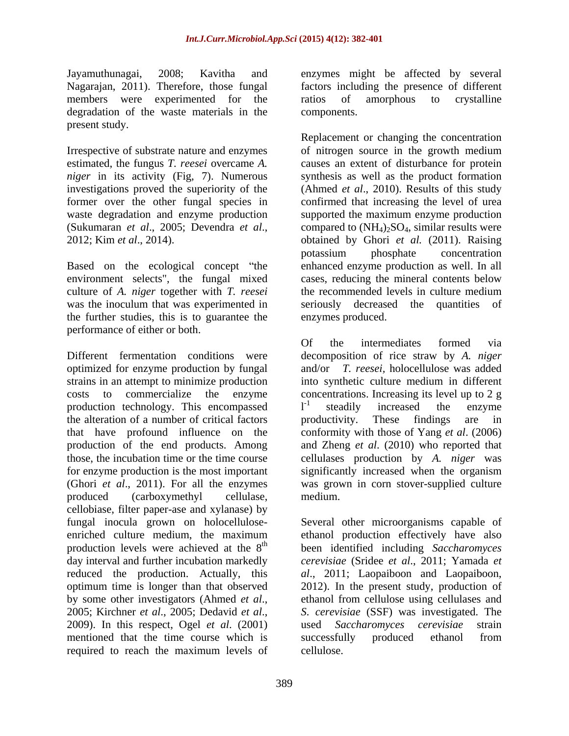members were experimented for the ratios of amorphous to crystalline degradation of the waste materials in the present study.

*niger* in its activity (Fig, 7). Numerous former over the other fungal species in

environment selects", the fungal mixed culture of *A. niger* together with *T. reesei* was the inoculum that was experimented in seriously decreased the quantities of the further studies, this is to guarantee the performance of either or both.

Different fermentation conditions were decomposition of rice straw by *A. niger* optimized for enzyme production by fungal and/or *T. reesei,* holocellulose was added strains in an attempt to minimize production into synthetic culture medium in different costs to commercialize the enzyme concentrations. Increasing its level up to 2 g production technology. This encompassed  $I<sup>-1</sup>$  steadily increased the enzyme the alteration of a number of critical factors broductivity. These findings are in that have profound influence on the conformity with those of Yang *et al*. (2006) production of the end products. Among and Zheng *et al*. (2010) who reported that those, the incubation time or the time course cellulases production by *A. niger* was for enzyme production is the most important significantly increased when the organism (Ghori *et al*., 2011). For all the enzymes was grown in corn stover-supplied culture produced (carboxymethyl cellulase, medium.<br>cellobiase, filter paper-ase and xylanase) by enriched culture medium, the maximum mentioned that the time course which is successfully produced ethanol from required to reach the maximum levels of

Jayamuthunagai, 2008; Kavitha and enzymes might be affected by several Nagarajan, 2011). Therefore, those fungal factors including the presence of different ratios of amorphous to crystalline components.

Irrespective of substrate nature and enzymes of nitrogen source in the growth medium estimated, the fungus *T. reesei* overcame *A.*  causes an extent of disturbance for protein investigations proved the superiority of the (Ahmed *et al*., 2010). Results of this study waste degradation and enzyme production supported the maximum enzyme production (Sukumaran *et al*., 2005; Devendra *et al*., 2012; Kim *et al*., 2014). Based on the ecological concept "the enhanced enzyme production as well. In all Replacement or changing the concentration synthesis as well as the product formation confirmed that increasing the level of urea compared to  $(NH<sub>4</sub>)<sub>2</sub>SO<sub>4</sub>$ , similar results were obtained by Ghori *et al.* (2011). Raising<br>potassium phosphate concentration potassium phosphate concentration cases, reducing the mineral contents below the recommended levels in culture medium seriously decreased the quantities of enzymes produced.

> Of the intermediates formed via into synthetic culture medium in different  $l<sup>-1</sup>$  steadily increased the enzyme steadily increased the enzyme productivity. These findings are in medium.

fungal inocula grown on holocellulose- Several other microorganisms capable of production levels were achieved at the 8<sup>th</sup> been identified including *Saccharomyces* production levels were achieved at the 8<sup>th</sup> been identified including Saccharomyces<br>day interval and further incubation markedly cerevisiae (Sridee et al., 2011; Yamada et reduced the production. Actually, this *al*., 2011; Laopaiboon and Laopaiboon, optimum time is longer than that observed 2012). In the present study, production of by some other investigators (Ahmed *et al*., 2005; Kirchner *et al*., 2005; Dedavid *et al*., 2009). In this respect, Ogel *et al*. (2001) ethanol production effectively have also *cerevisiae* (Sridee *et al*., 2011; Yamada *et*  ethanol from cellulose using cellulases and *S*. *cerevisiae* (SSF) was investigated. The used *Saccharomyces cerevisiae* strain successfully produced ethanol from cellulose.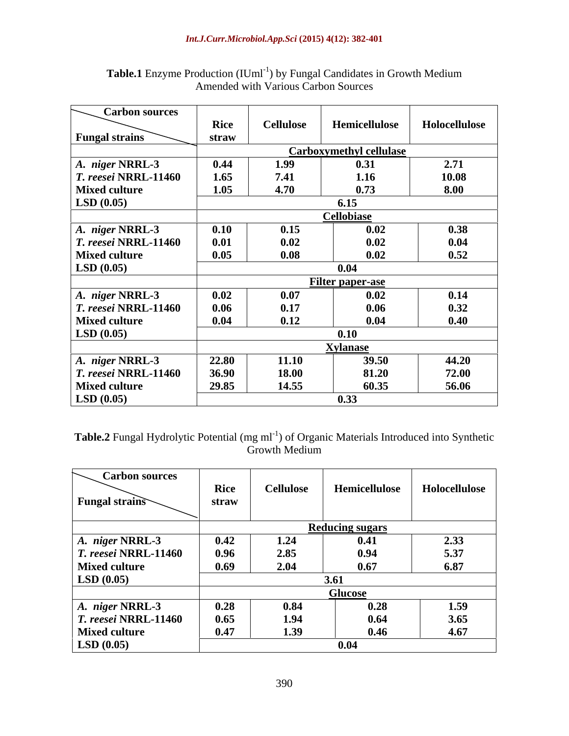| <b>Carbon sources</b> |       |                  |                                |               |
|-----------------------|-------|------------------|--------------------------------|---------------|
|                       | Rice  | <b>Cellulose</b> | Hemicellulose                  | Holocellulose |
| <b>Fungal strains</b> | straw |                  |                                |               |
|                       |       |                  | <b>Carboxymethyl cellulase</b> |               |
| A. niger NRRL-3       | 0.44  | 1.99             | 0.31                           | 2.71          |
| T. reesei NRRL-11460  | 1.65  | 7.41             | 1.16                           | 10.08         |
| <b>Mixed culture</b>  | 1.05  | 4.70             | 0.73                           | 8.00          |
| LSD(0.05)             |       |                  | 6.15                           |               |
|                       |       |                  | <b>Cellobiase</b>              |               |
| A. niger NRRL-3       | 0.10  | 0.15             | 0.02                           | 0.38          |
| T. reesei NRRL-11460  | 0.01  | 0.02             | 0.02                           | 0.04          |
| <b>Mixed culture</b>  | 0.05  | 0.08             | 0.02                           | 0.52          |
| LSD(0.05)             |       |                  | 0.04                           |               |
|                       |       |                  | Filter paper-ase               |               |
| A. niger NRRL-3       | 0.02  | 0.07             | 0.02                           | 0.14          |
| T. reesei NRRL-11460  | 0.06  | 0.17             | 0.06                           | 0.32          |
| <b>Mixed culture</b>  | 0.04  | 0.12             | 0.04                           | 0.40          |
| LSD(0.05)             |       |                  | 0.10                           |               |
|                       |       |                  | <b>Xylanase</b>                |               |
| A. niger NRRL-3       | 22.80 | 11.10            | 39.50                          | 44.20         |
| T. reesei NRRL-11460  | 36.90 | 18.00            | 81.20                          | 72.00         |
| <b>Mixed culture</b>  | 29.85 | 14.55            | 60.35                          | 56.06         |
| LSD(0.05)             |       |                  | 0.33                           |               |

Table.1 Enzyme Production (IUml<sup>-1</sup>) by Fungal Candidates in Growth Medium Amended with Various Carbon Sources

Table.2 Fungal Hydrolytic Potential (mg ml<sup>-1</sup>) of Organic Materials Introduced into Synthetic Growth Medium

| <b>Carbon sources</b>        | Rice  | <b>Cellulose</b> | Hemicellulose          | Holocellulose |
|------------------------------|-------|------------------|------------------------|---------------|
| <b>Fungal strains</b>        | straw |                  |                        |               |
|                              |       |                  | <b>Reducing sugars</b> |               |
| A. niger NRRL-3              | 0.42  | 1.24             | 0.41                   | 2.33          |
| $\vert$ T. reesei NRRL-11460 | 0.96  | 2.85             | 0.94                   | 5.37          |
| <b>Mixed culture</b>         | 0.69  | 2.04             | 0.67                   | 6.87          |
| $\vert$ LSD (0.05)           |       |                  | 3.61                   |               |
|                              |       |                  | <b>Glucose</b>         |               |
| A. niger NRRL-3              | 0.28  | 0.84             | 0.28                   | 1.59          |
| $\vert$ T. reesei NRRL-11460 | 0.65  | 1.94             | 0.64                   | 3.65          |
| <b>Mixed culture</b>         | 0.47  | 1.39             | 0.46                   | 4.67          |
| $\vert$ LSD (0.05)           |       |                  | 0.04                   |               |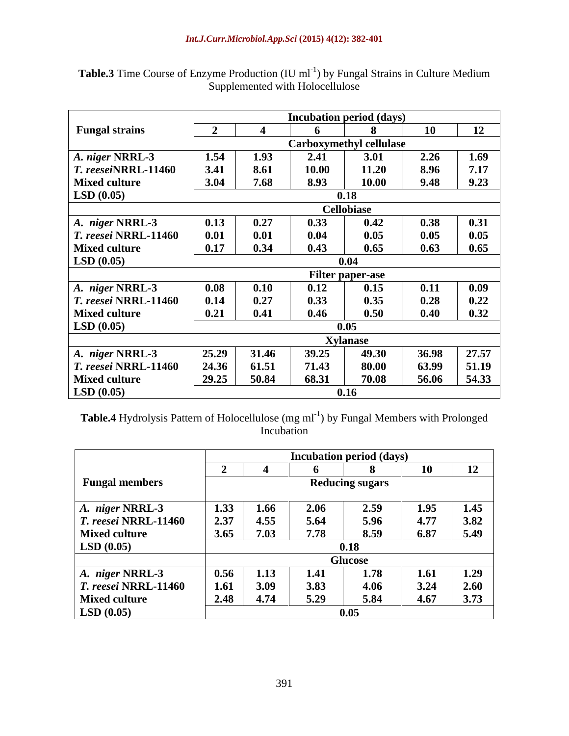|                                   |       |                                |       | <b>Incubation period (days)</b> |       |       |  |  |
|-----------------------------------|-------|--------------------------------|-------|---------------------------------|-------|-------|--|--|
| <b>Fungal strains</b>             |       |                                |       |                                 | 10    | 12    |  |  |
|                                   |       | <b>Carboxymethyl cellulase</b> |       |                                 |       |       |  |  |
| $\vert A. \n\rangle$ niger NRRL-3 | 1.54  | 1.93                           | 2.41  | 3.01                            | 2.26  | 1.69  |  |  |
| $T.$ reeseiNRRL-11460             | 3.41  | 8.61                           | 10.00 | 11.20                           | 8.96  | 7.17  |  |  |
| <b>Mixed culture</b>              | 3.04  | 7.68                           | 8.93  | 10.00                           | 9.48  | 9.23  |  |  |
| LSD(0.05)                         | 0.18  |                                |       |                                 |       |       |  |  |
|                                   |       |                                |       | <b>Cellobiase</b>               |       |       |  |  |
| A. niger NRRL-3                   | 0.13  | 0.27                           | 0.33  | 0.42                            | 0.38  | 0.31  |  |  |
| <i>T. reesei</i> NRRL-11460       | 0.01  | 0.01                           | 0.04  | 0.05                            | 0.05  | 0.05  |  |  |
| <b>Mixed culture</b>              | 0.17  | 0.34                           | 0.43  | 0.65                            | 0.63  | 0.65  |  |  |
| LSD(0.05)                         |       |                                |       | 0.04                            |       |       |  |  |
|                                   |       |                                |       | <b>Filter paper-ase</b>         |       |       |  |  |
| $ A.$ niger NRRL-3                | 0.08  | 0.10                           | 0.12  | 0.15                            | 0.11  | 0.09  |  |  |
| <i>T. reesei</i> NRRL-11460       | 0.14  | 0.27                           | 0.33  | 0.35                            | 0.28  | 0.22  |  |  |
| <b>Mixed culture</b>              | 0.21  | 0.41                           | 0.46  | 0.50                            | 0.40  | 0.32  |  |  |
| <b>LSD</b> $(0.05)$               |       |                                |       | 0.05                            |       |       |  |  |
|                                   |       | <b>Xylanase</b>                |       |                                 |       |       |  |  |
| A. niger NRRL-3                   | 25.29 | 31.46                          | 39.25 | 49.30                           | 36.98 | 27.57 |  |  |
| <i>T. reesei</i> NRRL-11460       | 24.36 | 61.51                          | 71.43 | 80.00                           | 63.99 | 51.19 |  |  |
| <b>Mixed culture</b>              | 29.25 | 50.84                          | 68.31 | 70.08                           | 56.06 | 54.33 |  |  |
| LSD(0.05)                         | 0.16  |                                |       |                                 |       |       |  |  |

Table.3 Time Course of Enzyme Production (IU ml<sup>-1</sup>) by Fungal Strains in Culture Medium Supplemented with Holocellulose

Table.4 Hydrolysis Pattern of Holocellulose (mg ml<sup>-1</sup>) by Fungal Members with Prolonged Incubation **Internation** 

|                        |                        | <b>Incubation period (days)</b> |      |      |      |      |  |
|------------------------|------------------------|---------------------------------|------|------|------|------|--|
|                        |                        |                                 |      |      | 10   | 12   |  |
| <b>Fungal members</b>  | <b>Reducing sugars</b> |                                 |      |      |      |      |  |
| A. niger NRRL-3        | 1.33                   | 1.66                            | 2.06 | 2.59 | 1.95 | 1.45 |  |
| $T.$ reesei NRRL-11460 | 2.37                   | 4.55                            | 5.64 | 5.96 | 4.77 | 3.82 |  |
| <b>Mixed culture</b>   | 3.65                   | 7.03                            | 7.78 | 8.59 | 6.87 | 5.49 |  |
| LSD(0.05)              |                        | 0.18                            |      |      |      |      |  |
|                        |                        | <b>Glucose</b>                  |      |      |      |      |  |
| A. niger NRRL-3        | 0.56                   | 1.13                            | 1.41 | 1.78 | 1.61 | 1.29 |  |
| $T.$ reesei NRRL-11460 | 1.61                   | 3.09                            | 3.83 | 4.06 | 3.24 | 2.60 |  |
| <b>Mixed culture</b>   | 2.48                   | 4.74                            | 5.29 | 5.84 | 4.67 | 3.73 |  |
| LSD(0.05)              |                        |                                 |      | 0.05 |      |      |  |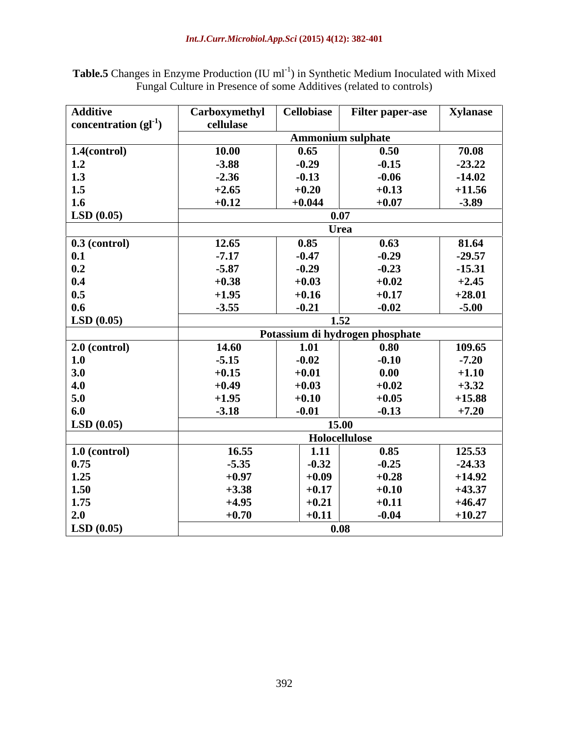Table.5 Changes in Enzyme Production (IU ml<sup>-1</sup>) in Synthetic Medium Inoculated with Mixed Fungal Culture in Presence of some Additives (related to controls)

| <b>Additive</b>                               | Carboxymethyl | <b>Cellobiase</b> | <b>Filter paper-ase</b>         | <b>Xylanase</b> |
|-----------------------------------------------|---------------|-------------------|---------------------------------|-----------------|
| concentration $\left(\mathbf{gl}^{-1}\right)$ | cellulase     |                   |                                 |                 |
|                                               |               |                   | <b>Ammonium sulphate</b>        |                 |
| $1.4$ (control)                               | 10.00         | 0.65              | 0.50                            | 70.08           |
| 1.2                                           | $-3.88$       | $-0.29$           | $-0.15$                         | $-23.22$        |
| 1.3                                           | $-2.36$       | $-0.13$           | $-0.06$                         | $-14.02$        |
| 1.5                                           | $+2.65$       | $+0.20$           | $+0.13$                         | $+11.56$        |
| 1.6                                           | $+0.12$       | $+0.044$          | $+0.07$                         | $-3.89$         |
| LSD(0.05)                                     |               |                   | 0.07                            |                 |
|                                               |               |                   | <b>Urea</b>                     |                 |
| $0.3$ (control)                               | 12.65         | 0.85              | 0.63                            | 81.64           |
| 0.1                                           | $-7.17$       | $-0.47$           | $-0.29$                         | $-29.57$        |
| 0.2                                           | $-5.87$       | $-0.29$           | $-0.23$                         | $-15.31$        |
| 0.4                                           | $+0.38$       | $+0.03$           | $+0.02$                         | $+2.45$         |
| 0.5                                           | $+1.95$       | $+0.16$           | $+0.17$                         | $+28.01$        |
| 0.6                                           | $-3.55$       | $-0.21$           | $-0.02$                         | $-5.00$         |
| LSD(0.05)                                     |               |                   | 1.52                            |                 |
|                                               |               |                   | Potassium di hydrogen phosphate |                 |
| $2.0$ (control)                               | 14.60         | 1.01              | 0.80                            | 109.65          |
| 1.0                                           | $-5.15$       | $-0.02$           | $-0.10$                         | $-7.20$         |
| $3.0$                                         | $+0.15$       | $+0.01$           | 0.00                            | $+1.10$         |
| 4.0                                           | $+0.49$       | $+0.03$           | $+0.02$                         | $+3.32$         |
| 5.0                                           | $+1.95$       | $+0.10$           | $+0.05$                         | $+15.88$        |
| 6.0                                           | $-3.18$       | $-0.01$           | $-0.13$                         | $+7.20$         |
| LSD(0.05)                                     |               |                   | 15.00                           |                 |
|                                               |               |                   | Holocellulose                   |                 |
| $1.0$ (control)                               | 16.55         | 1.11              | 0.85                            | 125.53          |
| 0.75                                          | $-5.35$       | $-0.32$           | $-0.25$                         | $-24.33$        |
| 1.25                                          | $+0.97$       | $+0.09$           | $+0.28$                         | $+14.92$        |
| 1.50                                          | $+3.38$       | $+0.17$           | $+0.10$                         | $+43.37$        |
| 1.75                                          | $+4.95$       | $+0.21$           | $+0.11$                         | $+46.47$        |
| 2.0                                           | $+0.70$       | $+0.11$           | $-0.04$                         | $+10.27$        |
| LSD(0.05)                                     |               |                   | 0.08                            |                 |
|                                               |               |                   |                                 |                 |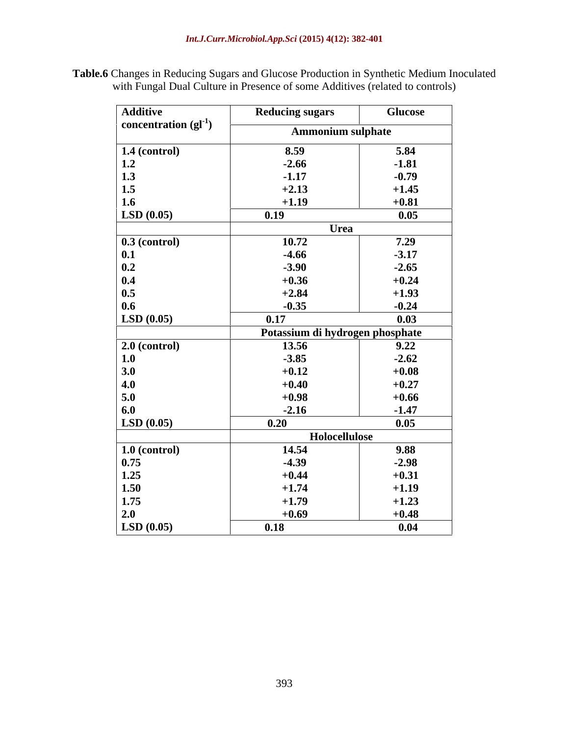**Table.6** Changes in Reducing Sugars and Glucose Production in Synthetic Medium Inoculated with Fungal Dual Culture in Presence of some Additives (related to controls)

| <b>Additive</b>                                      | <b>Reducing sugars</b>          | <b>Glucose</b> |
|------------------------------------------------------|---------------------------------|----------------|
| concentration $\left( \text{gl}^{-1} \right)$        |                                 |                |
|                                                      | <b>Ammonium sulphate</b>        |                |
| $\vert$ 1.4 (control)                                | 8.59                            | 5.84           |
|                                                      | $-2.66$                         | $-1.81$        |
|                                                      | $-1.17$                         | $-0.79$        |
| $\begin{array}{c} 1.2 \\ 1.3 \\ 1.5 \end{array}$     | $+2.13$                         | $+1.45$        |
| 1.6                                                  | $+1.19$                         | $+0.81$        |
| LSD(0.05)                                            | 0.19                            | 0.05           |
|                                                      | Urea                            |                |
| $\boxed{0.3 \text{ (control)}}$                      | 10.72                           | 7.29           |
|                                                      | $-4.66$                         | $-3.17$        |
|                                                      | $-3.90$                         | $-2.65$        |
| $\begin{array}{c} 0.1 \\ 0.2 \\ 0.4 \end{array}$     | $+0.36$                         | $+0.24$        |
| 0.5                                                  | $+2.84$                         | $+1.93$        |
| 0.6                                                  | $-0.35$                         | $-0.24$        |
| LSD(0.05)                                            | 0.17                            | 0.03           |
|                                                      | Potassium di hydrogen phosphate |                |
| $2.0$ (control)                                      | 13.56                           | 9.22           |
|                                                      | $-3.85$                         | $-2.62$        |
| $\frac{1.0}{3.0}$                                    |                                 |                |
|                                                      | $+0.12$                         | $+0.08$        |
| 4.0                                                  | $+0.40$                         | $+0.27$        |
| 5.0                                                  | $+0.98$                         | $+0.66$        |
| 6.0                                                  | $-2.16$                         | $-1.47$        |
| LSD(0.05)                                            | 0.20                            | 0.05           |
|                                                      | Holocellulose                   |                |
| $\frac{1.0 \text{ (control)}}{0.75}$<br>1.25<br>1.50 | 14.54                           | 9.88           |
|                                                      | $-4.39$                         | $-2.98$        |
|                                                      | $+0.44$                         | $+0.31$        |
|                                                      | $+1.74$                         | $+1.19$        |
| 1.75                                                 | $+1.79$                         | $+1.23$        |
| 2.0                                                  | $+0.69$                         | $+0.48$        |
| LSD(0.05)                                            | 0.18                            | 0.04           |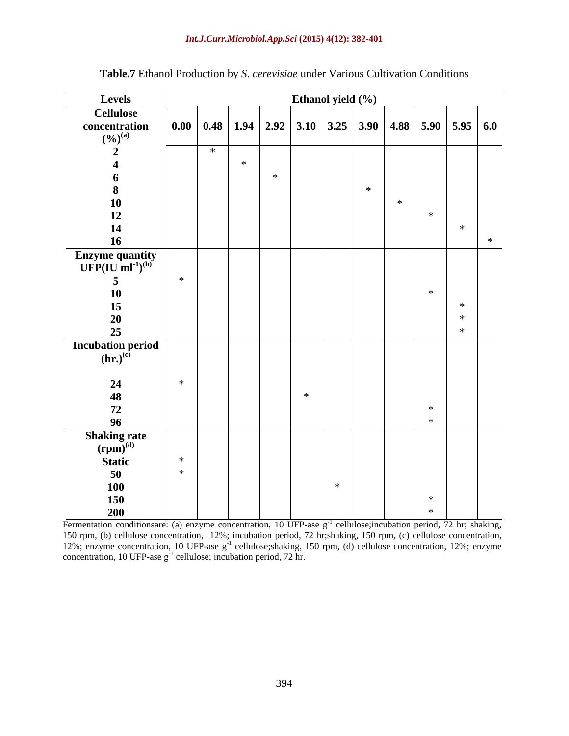### *Int.J.Curr.Microbiol.App.Sci* **(2015) 4(12): 382-401**

| Levels                                                      | Ethanol yield (%) |     |                                                                           |        |        |     |        |        |               |
|-------------------------------------------------------------|-------------------|-----|---------------------------------------------------------------------------|--------|--------|-----|--------|--------|---------------|
| <b>Cellulose</b>                                            |                   |     |                                                                           |        |        |     |        |        |               |
| concentration<br>$(\%)^{(a)}$                               |                   |     | 0.00   0.48   1.94   2.92   3.10   3.25   3.90   4.88   5.90   5.95   6.0 |        |        |     |        |        |               |
| $\rightarrow$                                               |                   | $*$ |                                                                           |        |        |     |        |        |               |
|                                                             |                   |     | $*$                                                                       |        |        |     |        |        |               |
| 6                                                           |                   |     | $*$                                                                       |        |        |     |        |        |               |
| 8                                                           |                   |     |                                                                           |        |        | $*$ |        |        |               |
| 10                                                          |                   |     |                                                                           |        |        |     | $\ast$ |        |               |
| 12                                                          |                   |     |                                                                           |        |        |     |        | $\ast$ |               |
| $\frac{14}{16}$                                             |                   |     |                                                                           |        |        |     |        |        | $\ast$<br>$*$ |
|                                                             |                   |     |                                                                           |        |        |     |        |        |               |
| Enzyme quantity<br>UFP(IU ml <sup>-1</sup> ) <sup>(b)</sup> |                   |     |                                                                           |        |        |     |        |        |               |
| 5                                                           | $*$               |     |                                                                           |        |        |     |        |        |               |
| <b>10</b>                                                   |                   |     |                                                                           |        |        |     |        | $\ast$ |               |
| 15                                                          |                   |     |                                                                           |        |        |     |        |        | $*$           |
|                                                             |                   |     |                                                                           |        |        |     |        |        | $*$           |
| $\frac{20}{25}$                                             |                   |     |                                                                           |        |        |     |        |        | $\ast$        |
| <b>Incubation period</b>                                    |                   |     |                                                                           |        |        |     |        |        |               |
| $(hr.)^{(c)}$                                               |                   |     |                                                                           |        |        |     |        |        |               |
|                                                             |                   |     |                                                                           |        |        |     |        |        |               |
| 24                                                          | $*$               |     |                                                                           |        |        |     |        |        |               |
| $\frac{48}{72}$                                             |                   |     |                                                                           | $\ast$ |        |     |        |        |               |
|                                                             |                   |     |                                                                           |        |        |     |        | $\ast$ |               |
| 96                                                          |                   |     |                                                                           |        |        |     |        | $*$    |               |
| Shaking rate $(rpm)^{(d)}$                                  |                   |     |                                                                           |        |        |     |        |        |               |
|                                                             | $\ast$            |     |                                                                           |        |        |     |        |        |               |
| Static                                                      | $*$               |     |                                                                           |        |        |     |        |        |               |
| 50                                                          |                   |     |                                                                           |        | $\ast$ |     |        |        |               |
| <b>100</b>                                                  |                   |     |                                                                           |        |        |     |        | $\ast$ |               |
| 150<br>200                                                  |                   |     |                                                                           |        |        |     |        | $\ast$ |               |
|                                                             |                   |     |                                                                           |        |        |     |        |        |               |

### **Table.7** Ethanol Production by *S*. *cerevisiae* under Various Cultivation Conditions

Fermentation conditionsare: (a) enzyme concentration, 10 UFP-ase  $g^{-1}$  cellulose; incubation period, 72 hr; shaking, 150 rpm, (b) cellulose concentration, 12%; incubation period, 72 hr;shaking, 150 rpm, (c) cellulose concentration, 12%; enzyme concentration, 10 UFP-ase g<sup>-1</sup> cellulose; shaking, 150 rpm, (d) cellulose concentration, 12%; enzyme  $concentration, 10 UFP-ase g<sup>-1</sup>$  cellulose; incubation period, 72 hr.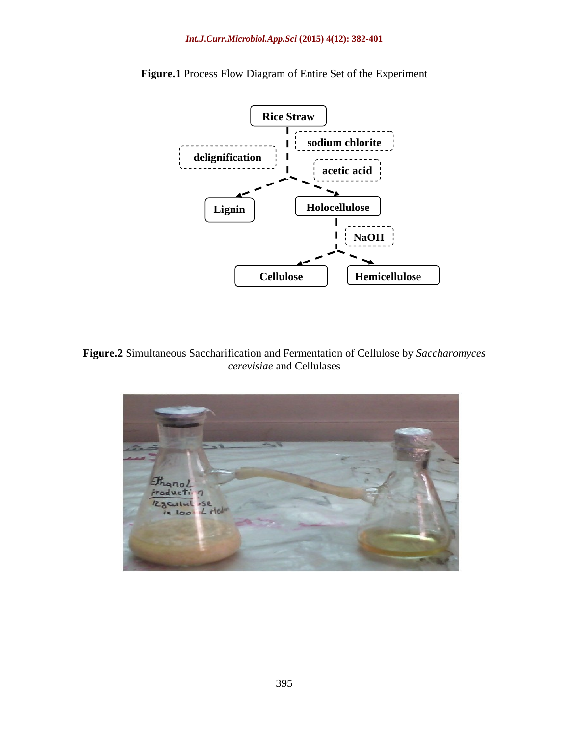

**Figure.1** Process Flow Diagram of Entire Set of the Experiment

**Figure.2** Simultaneous Saccharification and Fermentation of Cellulose by *Saccharomyces cerevisiae* and Cellulases

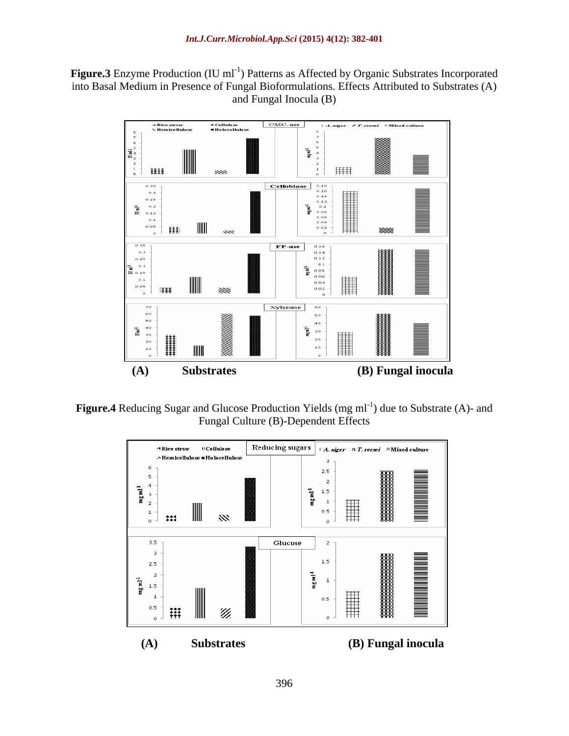Figure.3 Enzyme Production (IU ml<sup>-1</sup>) Patterns as Affected by Organic Substrates Incorporated into Basal Medium in Presence of Fungal Bioformulations. Effects Attributed to Substrates (A) and Fungal Inocula (B)



Figure.4 Reducing Sugar and Glucose Production Yields (mg ml<sup>-1</sup>) due to Substrate (A)- and Fungal Culture (B)-Dependent Effects

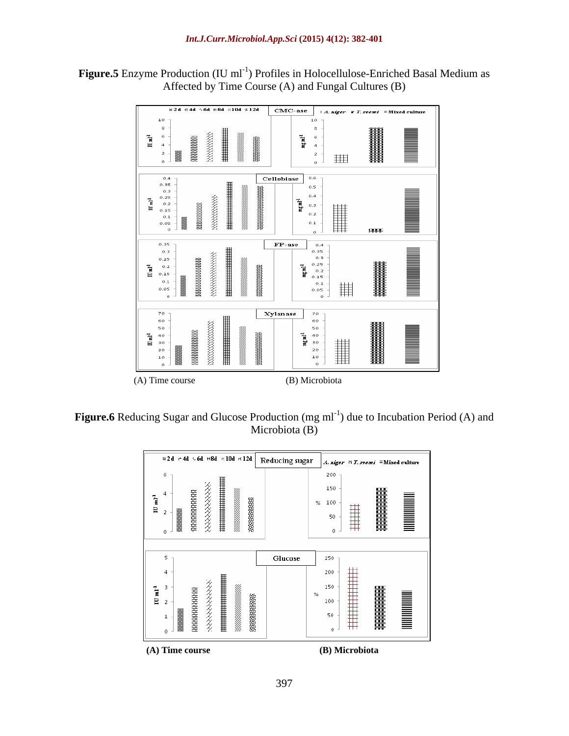Figure.5 Enzyme Production (IU ml<sup>-1</sup>) Profiles in Holocellulose-Enriched Basal Medium as Affected by Time Course (A) and Fungal Cultures (B)



Figure.6 Reducing Sugar and Glucose Production (mg ml<sup>-1</sup>) due to Incubation Period (A) and Microbiota (B)

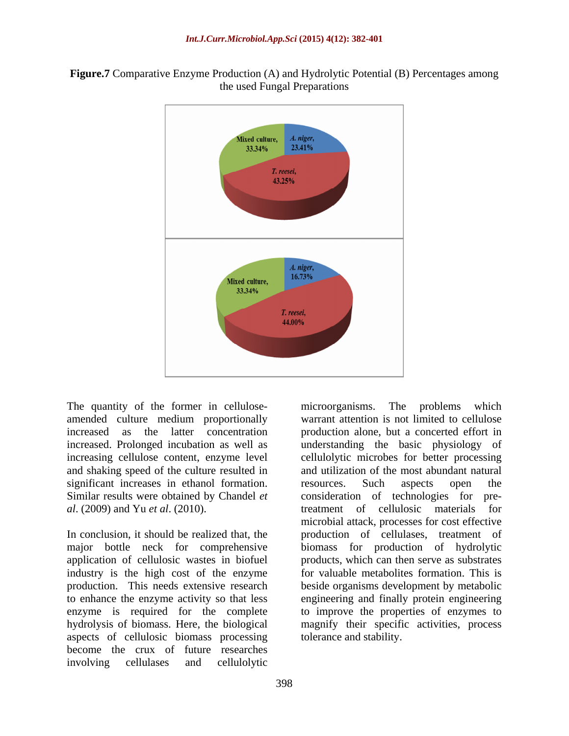



The quantity of the former in cellulose- microorganisms. The problems which and shaking speed of the culture resulted in

application of cellulosic wastes in biofuel industry is the high cost of the enzyme aspects of cellulosic biomass processing become the crux of future researches involving cellulases and cellulolytic

amended culture medium proportionally warrant attention is not limited to cellulose increased as the latter concentration production alone, but a concerted effort in increased. Prolonged incubation as well as understanding the basic physiology of increasing cellulose content, enzyme level cellulolytic microbes for better processing significant increases in ethanol formation. In resources. Such aspects open the Similar results were obtained by Chandel *et* consideration of technologies for pre*al*. (2009) and Yu *et al*. (2010). treatment of cellulosic materials for In conclusion, it should be realized that, the production of cellulases, treatment of major bottle neck for comprehensive biomass for production of hydrolytic production. This needs extensive research beside organisms development by metabolic to enhance the enzyme activity so that less engineering and finally protein engineering enzyme is required for the complete to improve the properties of enzymes to hydrolysis of biomass. Here, the biological magnify their specific activities, process and utilization of the most abundant natural resources. Such aspects open the consideration of technologies for premicrobial attack, processes for cost effective products, which can then serve as substrates for valuable metabolites formation. This is tolerance and stability.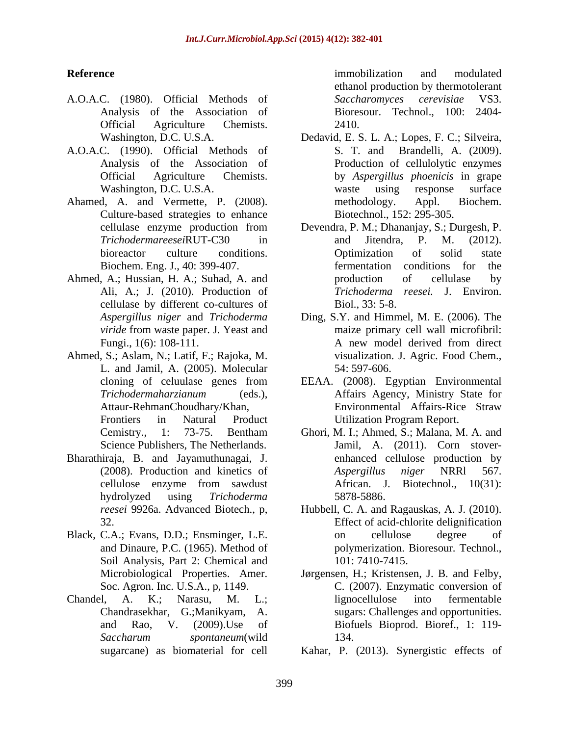- A.O.A.C. (1980). Official Methods of Official Agriculture Chemists. 2410.
- A.O.A.C. (1990). Official Methods of
- Ahamed, A. and Vermette, P. (2008). The methodology. Appl. Biochem. Culture-based strategies to enhance
- Ahmed, A.; Hussian, H. A.; Suhad, A. and  $\qquad \qquad$  production of cellulase by Ali, A.; J. (2010). Production of cellulase by different co-cultures of Biol., 33: 5-8.
- Ahmed, S.; Aslam, N.; Latif, F.; Rajoka, M. L. and Jamil, A. (2005). Molecular
- Bharathiraja, B. and Jayamuthunagai, J.
- Black, C.A.; Evans, D.D.; Ensminger, L.E. on cellulose degree of Soil Analysis, Part 2: Chemical and
- 

**Reference** and **Reference** *Reference Reference Reference Reference Reference Reference Reference Reference Reference Reference Reference Reference Reference Reference* Analysis of the Association of Bioresour. Technol., 100: 2404 immobilization and modulated ethanol production by thermotolerant *Saccharomyces cerevisiae* VS3. 2410.

- Washington, D.C. U.S.A. Dedavid, E. S. L. A.; Lopes, F. C.; Silveira, Analysis of the Association of Production of cellulolytic enzymes Official Agriculture Chemists. by *Aspergillus phoenicis* in grape Washington, D.C. U.S.A. waste using response surface S. T. and Brandelli, A. (2009). waste using response surface methodology. Appl. Biochem. Biotechnol., 152: 295-305.
- cellulase enzyme production from Devendra, P. M.; Dhananjay, S.; Durgesh, P. *Trichodermareesei*RUT-C30 in bioreactor culture conditions. Optimization of solid state Biochem. Eng. J., 40: 399-407. fermentation conditions for the and Jitendra, P. M. (2012). Optimization of solid state production of cellulase by *Trichoderma reesei.* J. Environ. Biol., 33: 5-8.
- *Aspergillus niger* and *Trichoderma*  Ding, S.Y. and Himmel, M. E.(2006). The *viride* from waste paper. J. Yeast and **the matrix** primary cell wall microfibril: Fungi., 1(6): 108-111. A new model derived from direct maize primary cell wall microfibril: A new model derived from direct visualization. J. Agric. Food Chem., 54: 597-606.
- cloning of celuulase genes from EEAA. (2008). Egyptian Environmental *Trichodermaharzianum* (eds.), Affairs Agency, Ministry State for Attaur-RehmanChoudhary/Khan, Frontiers in Natural Product Utilization Program Report. Environmental Affairs-Rice Straw
- Cemistry., 1: 73-75. Bentham Ghori, M. I.; Ahmed, S.; Malana, M. A. and Science Publishers, The Netherlands. Jamil, A. (2011). Corn stover-(2008). Production and kinetics of *Aspergillus niger* NRRI 567. cellulose enzyme from sawdust African. J. Biotechnol., 10(31): hydrolyzed using *Trichoderma*  enhanced cellulose production by *Aspergillus niger* NRRl 567. African. J. Biotechnol., 10(31): 5878-5886.
- *reesei* 9926a. Advanced Biotech., p, Hubbell, C. A. and Ragauskas, A. J. (2010). 32. Effect of acid-chlorite delignification and Dinaure, P.C. (1965). Method of polymerization. Bioresour. Technol., on cellulose degree of 101: 7410-7415.
- Microbiological Properties. Amer. Jørgensen, H.; Kristensen, J. B. and Felby, Soc. Agron. Inc. U.S.A., p, 1149. C. (2007). Enzymatic conversion of Chandel, A. K.; Narasu, M. L.; Chandrasekhar, G.;Manikyam, A. sugars: Challenges and opportunities. and Rao, V. (2009).Use of Biofuels Bioprod. Bioref., 1: 119- *Saccharum spontaneum*(wild lignocellulose into fermentable 134.
	- sugarcane) as biomaterial for cell Kahar, P. (2013). Synergistic effects of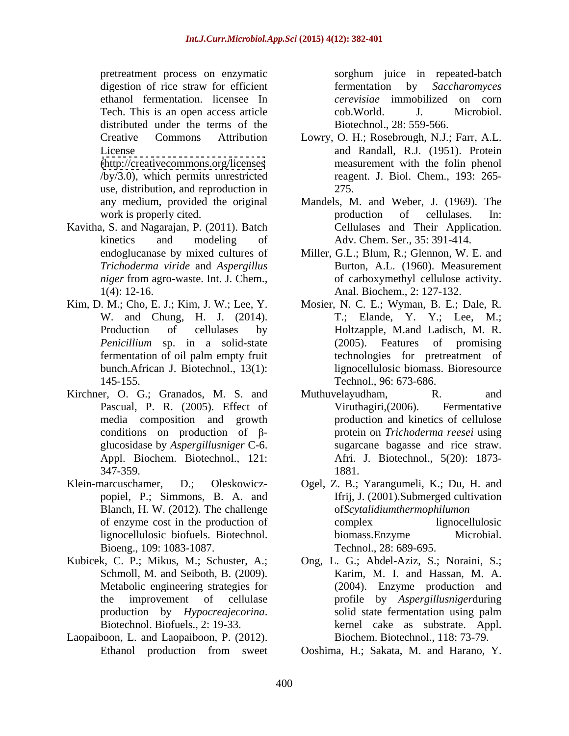pretreatment process on enzymatic sorghum juice in repeated-batch digestion of rice straw for efficient fermentation by Saccharomyces ethanol fermentation. licensee In *cerevisiae* immobilized on corn Tech. This is an open access article  $\qquad \qquad \text{cob. World.} \qquad J. \qquad \text{Microbiol.}$ distributed under the terms of the

use, distribution, and reproduction in

- Kavitha, S. and Nagarajan, P. (2011). Batch
- Kim, D. M.; Cho, E. J.; Kim, J. W.; Lee, Y. fermentation of oil palm empty fruit
- Kirchner, O. G.; Granados, M. S. and Muthuvelayudham, R. and and media composition and growth
- Blanch, H. W. (2012). The challenge Bioeng., 109: 1083-1087.
- Schmoll, M. and Seiboth, B. (2009).
- Laopaiboon, L. and Laopaiboon, P. (2012).

fermentation by *Saccharomyces*  cob.World. J. Microbiol. Biotechnol., 28: 559-566.

- Creative Commons Attribution Lowry, O. H.; Rosebrough, N.J.; Farr, A.L. License and Randall, R.J. (1951). Protein [\(http://creativecommons.org/licenses](http://creativecommons.org/licenses) measurement with the folin phenol /by/3.0), which permits unrestricted reagent. J. Biol. Chem., 193: 265- 275.
- any medium, provided the original Mandels, M. and Weber, J. (1969). The work is properly cited. The production of cellulases. In: kinetics and modeling of Adv. Chem. Ser., 35: 391-414. production of cellulases. In: Cellulases and Their Application.
- endoglucanase by mixed cultures of Miller, G.L.; Blum, R.; Glennon, W. E. and *Trichoderma viride* and *Aspergillus*  Burton, A.L. (1960). Measurement *niger* from agro-waste. Int. J. Chem., 1(4): 12-16. Anal. Biochem., 2: 127-132. of carboxymethyl cellulose activity.
- W. and Chung, H. J. (2014). T.; Elande, Y. Y.; Lee, M.; Production of cellulases by Holtzapple, M.and Ladisch, M. R. *Penicillium* sp. in a solid-state (2005). Features of promising bunch.African J. Biotechnol., 13(1): lignocellulosic biomass. Bioresource 145-155. Technol., 96: 673-686. Mosier, N. C. E.; Wyman, B. E.; Dale, R. technologies for pretreatment of
- Pascual, P. R. (2005). Effect of Viruthagiri, (2006). Fermentative conditions on production of β-<br>protein on *Trichoderma reesei* using glucosidase by *Aspergillusniger* C-6. Appl. Biochem. Biotechnol., 121: Afri. J. Biotechnol., 5(20): 1873-347-359. Muthuvelayudham, R. and Viruthagiri,(2006). Fermentative production and kinetics of cellulose sugarcane bagasse and rice straw. Afri. J. Biotechnol., 5(20): 1873- 1881.
- Klein-marcuschamer, D.; Oleskowicz- Ogel, Z. B.; Yarangumeli, K.; Du, H. and popiel, P.; Simmons, B. A. and Ifrij, J. (2001).Submerged cultivation of enzyme cost in the production of lignocellulosic biofuels. Biotechnol. of*Scytalidiumthermophilumon* complex lignocellulosic biomass.Enzyme Microbial. Technol., 28: 689-695.
- Kubicek, C. P.; Mikus, M.; Schuster, A.; Ong, L. G.; Abdel-Aziz, S.; Noraini, S.; Metabolic engineering strategies for (2004). Enzyme production and the improvement of cellulase profile by *Aspergillusniger*during production by *Hypocreajecorina*. Biotechnol. Biofuels., 2: 19-33. Karim, M. I. and Hassan, M. A. solid state fermentation using palm kernel cake as substrate. Appl. Biochem. Biotechnol., 118: 73-79.

Ethanol production from sweet Ooshima, H.; Sakata, M. and Harano, Y. Ooshima, H.; Sakata, M. and Harano, Y.